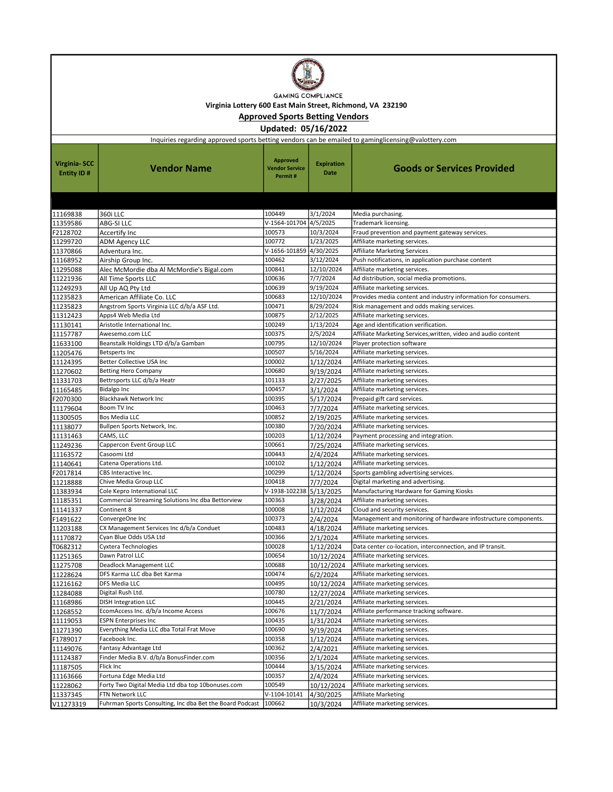

Virginia Lottery 600 East Main Street, Richmond, VA 232190

Approved Sports Betting Vendors

Updated: 05/16/2022

| Inquiries regarding approved sports betting vendors can be emailed to gaminglicensing@valottery.com |                                                          |                                                     |                           |                                                                 |  |
|-----------------------------------------------------------------------------------------------------|----------------------------------------------------------|-----------------------------------------------------|---------------------------|-----------------------------------------------------------------|--|
| <b>Virginia-SCC</b><br>Entity ID#                                                                   | Vendor Name                                              | <b>Approved</b><br><b>Vendor Service</b><br>Permit# | <b>Expiration</b><br>Date | Goods or Services Provided                                      |  |
|                                                                                                     |                                                          |                                                     |                           |                                                                 |  |
| 11169838                                                                                            | 360i LLC                                                 | 100449                                              | 3/1/2024                  | Media purchasing.                                               |  |
| 11359586                                                                                            | <b>ABG-SILLC</b>                                         | V-1564-101704 4/5/2025                              |                           | Trademark licensing.                                            |  |
| F2128702                                                                                            | Accertify Inc                                            | 100573                                              | 10/3/2024                 | Fraud prevention and payment gateway services.                  |  |
| 11299720                                                                                            | <b>ADM Agency LLC</b>                                    | 100772                                              | 1/23/2025                 | Affiliate marketing services.                                   |  |
| 11370866                                                                                            | Adventura Inc.                                           | V-1656-101859 4/30/2025                             |                           | <b>Affiliate Marketing Services</b>                             |  |
| 11168952                                                                                            | Airship Group Inc.                                       | 100462                                              | 3/12/2024                 | Push notifications, in application purchase content             |  |
| 11295088                                                                                            | Alec McMordie dba Al McMordie's Bigal.com                | 100841                                              | 12/10/2024                | Affiliate marketing services.                                   |  |
| 11221936                                                                                            | All Time Sports LLC                                      | 100636                                              | 7/7/2024                  | Ad distribution, social media promotions.                       |  |
| 11249293                                                                                            | All Up AQ Pty Ltd                                        | 100639                                              | 9/19/2024                 | Affiliate marketing services.                                   |  |
| 11235823                                                                                            | American Affiliate Co. LLC                               | 100683                                              | 12/10/2024                | Provides media content and industry information for consumers.  |  |
| 11235823                                                                                            | Angstrom Sports Virginia LLC d/b/a ASF Ltd.              | 100471                                              | 8/29/2024                 | Risk management and odds making services.                       |  |
| 11312423                                                                                            | Apps4 Web Media Ltd                                      | 100875                                              | 2/12/2025                 | Affiliate marketing services.                                   |  |
| 11130141                                                                                            | Aristotle International Inc.                             | 100249                                              | 1/13/2024                 | Age and identification verification.                            |  |
| 11157787                                                                                            | Awesemo.com LLC                                          | 100375                                              | 2/5/2024                  | Affiliate Marketing Services, written, video and audio content  |  |
| 11633100                                                                                            | Beanstalk Holdings LTD d/b/a Gamban                      | 100795                                              | 12/10/2024                | Player protection software                                      |  |
| 11205476                                                                                            | Betsperts Inc                                            | 100507                                              | 5/16/2024                 | Affiliate marketing services.                                   |  |
| 11124395                                                                                            | Better Collective USA Inc                                | 100002                                              | 1/12/2024                 | Affiliate marketing services.                                   |  |
| 11270602                                                                                            | <b>Betting Hero Company</b>                              | 100680                                              | 9/19/2024                 | Affiliate marketing services.                                   |  |
| 11331703                                                                                            | Bettrsports LLC d/b/a Heatr                              | 101133                                              | 2/27/2025                 | Affiliate marketing services.                                   |  |
| 11165485                                                                                            | Bidalgo Inc<br><b>Blackhawk Network Inc</b>              | 100457                                              | 3/1/2024                  | Affiliate marketing services.                                   |  |
| F2070300                                                                                            |                                                          | 100395                                              | 5/17/2024                 | Prepaid gift card services.                                     |  |
| 11179604                                                                                            | Boom TV Inc<br><b>Bos Media LLC</b>                      | 100463<br>100852                                    | 7/7/2024<br>2/19/2025     | Affiliate marketing services.                                   |  |
| 11300505                                                                                            | Bullpen Sports Network, Inc.                             | 100380                                              |                           | Affiliate marketing services.<br>Affiliate marketing services.  |  |
| 11138077<br>11131463                                                                                | CAMS, LLC                                                | 100203                                              | 7/20/2024<br>1/12/2024    | Payment processing and integration.                             |  |
| 11249236                                                                                            | Cappercon Event Group LLC                                | 100661                                              | 7/25/2024                 | Affiliate marketing services.                                   |  |
| 11163572                                                                                            | Casoomi Ltd                                              | 100443                                              | 2/4/2024                  | Affiliate marketing services.                                   |  |
| 11140641                                                                                            | Catena Operations Ltd.                                   | 100102                                              | 1/12/2024                 | Affiliate marketing services.                                   |  |
| F2017814                                                                                            | CBS Interactive Inc.                                     | 100299                                              | 1/12/2024                 | Sports gambling advertising services.                           |  |
| 11218888                                                                                            | Chive Media Group LLC                                    | 100418                                              | 7/7/2024                  | Digital marketing and advertising.                              |  |
| 11383934                                                                                            | Cole Kepro International LLC                             | V-1938-102238 5/13/2025                             |                           | Manufacturing Hardware for Gaming Kiosks                        |  |
| 11185351                                                                                            | Commercial Streaming Solutions Inc dba Bettorview        | 100363                                              | 3/28/2024                 | Affiliate marketing services.                                   |  |
| 11141337                                                                                            | Continent 8                                              | 100008                                              | 1/12/2024                 | Cloud and security services.                                    |  |
| F1491622                                                                                            | ConvergeOne Inc                                          | 100373                                              | 2/4/2024                  | Management and monitoring of hardware infostructure components. |  |
| 11203188                                                                                            | CX Management Services Inc d/b/a Conduet                 | 100483                                              | 4/18/2024                 | Affiliate marketing services.                                   |  |
| 11170872                                                                                            | Cyan Blue Odds USA Ltd                                   | 100366                                              | 2/1/2024                  | Affiliate marketing services.                                   |  |
| T0682312                                                                                            | Cyxtera Technologies                                     | 100028                                              | 1/12/2024                 | Data center co-location, interconnection, and IP transit.       |  |
| 11251365                                                                                            | Dawn Patrol LLC                                          | 100654                                              | 10/12/2024                | Affiliate marketing services.                                   |  |
| 11275708                                                                                            | <b>Deadlock Management LLC</b>                           | 100688                                              | 10/12/2024                | Affiliate marketing services.                                   |  |
| 11228624                                                                                            | DFS Karma LLC dba Bet Karma                              | 100474                                              | 6/2/2024                  | Affiliate marketing services.                                   |  |
| 11216162                                                                                            | DFS Media LLC                                            | 100495                                              | 10/12/2024                | Affiliate marketing services.                                   |  |
| 11284088                                                                                            | Digital Rush Ltd.                                        | 100780                                              | 12/27/2024                | Affiliate marketing services.                                   |  |
| 11168986                                                                                            | <b>DISH Integration LLC</b>                              | 100445                                              | 2/21/2024                 | Affiliate marketing services.                                   |  |
| 11268552                                                                                            | EcomAccess Inc. d/b/a Income Access                      | 100676                                              | 11/7/2024                 | Affiliate performance tracking software.                        |  |
| 11119053                                                                                            | <b>ESPN Enterprises Inc</b>                              | 100435                                              | 1/31/2024                 | Affiliate marketing services.                                   |  |
| 11271390                                                                                            | Everything Media LLC dba Total Frat Move                 | 100690                                              | 9/19/2024                 | Affiliate marketing services.                                   |  |
| F1789017                                                                                            | Facebook Inc.                                            | 100358                                              | 1/12/2024                 | Affiliate marketing services.                                   |  |
| 11149076                                                                                            | Fantasy Advantage Ltd                                    | 100362                                              | 2/4/2021                  | Affiliate marketing services.                                   |  |
| 11124387                                                                                            | Finder Media B.V. d/b/a BonusFinder.com                  | 100356                                              | 2/1/2024                  | Affiliate marketing services.                                   |  |
| 11187505                                                                                            | Flick Inc                                                | 100444                                              | 3/15/2024                 | Affiliate marketing services.                                   |  |
| 11163666                                                                                            | Fortuna Edge Media Ltd                                   | 100357                                              | 2/4/2024                  | Affiliate marketing services.                                   |  |
| 11228062                                                                                            | Forty Two Digital Media Ltd dba top 10bonuses.com        | 100549                                              | 10/12/2024                | Affiliate marketing services.                                   |  |
| 11337345                                                                                            | FTN Network LLC                                          | V-1104-10141                                        | 4/30/2025                 | Affiliate Marketing                                             |  |
| V11273319                                                                                           | Fuhrman Sports Consulting, Inc dba Bet the Board Podcast | 100662                                              | 10/3/2024                 | Affiliate marketing services.                                   |  |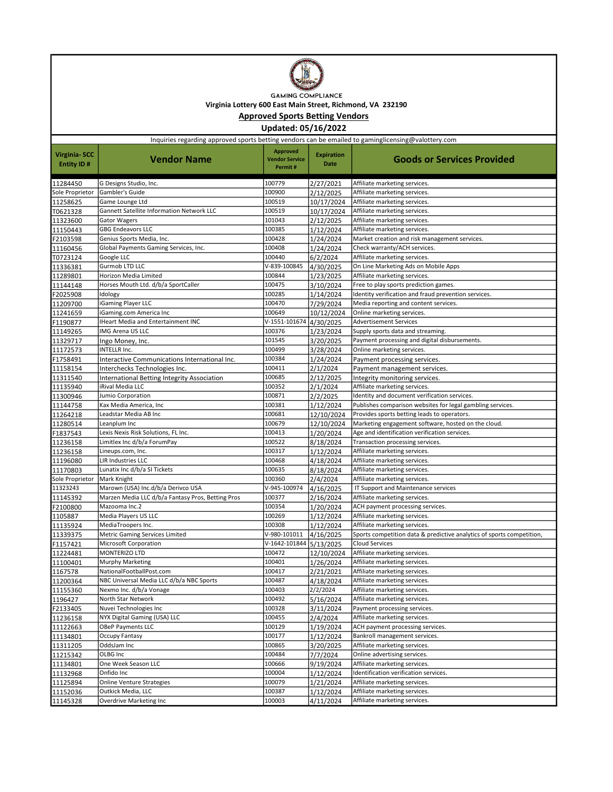

**GAMING COMPLIANCE** Virginia Lottery 600 East Main Street, Richmond, VA 232190

Approved Sports Betting Vendors

Updated: 05/16/2022

| Inquiries regarding approved sports betting vendors can be emailed to gaminglicensing@valottery.com |                                                                                         |                                                     |                                  |                                                                                                        |  |
|-----------------------------------------------------------------------------------------------------|-----------------------------------------------------------------------------------------|-----------------------------------------------------|----------------------------------|--------------------------------------------------------------------------------------------------------|--|
| Virginia- SCC<br>Entity ID#                                                                         | <b>Vendor Name</b>                                                                      | <b>Approved</b><br><b>Vendor Service</b><br>Permit# | <b>Expiration</b><br><b>Date</b> | <b>Goods or Services Provided</b>                                                                      |  |
| 11284450                                                                                            | G Designs Studio, Inc.                                                                  | 100779                                              | 2/27/2021                        | Affiliate marketing services.                                                                          |  |
| Sole Proprietor                                                                                     | Gambler's Guide                                                                         | 100900                                              | 2/12/2025                        | Affiliate marketing services.                                                                          |  |
| 11258625                                                                                            | Game Lounge Ltd                                                                         | 100519                                              | 10/17/2024                       | Affiliate marketing services.                                                                          |  |
| T0621328                                                                                            | Gannett Satellite Information Network LLC                                               | 100519                                              | 10/17/2024                       | Affiliate marketing services.                                                                          |  |
| 11323600                                                                                            | <b>Gator Wagers</b>                                                                     | 101043                                              | 2/12/2025                        | Affiliate marketing services.                                                                          |  |
| 11150443                                                                                            | <b>GBG Endeavors LLC</b>                                                                | 100385                                              | 1/12/2024                        | Affiliate marketing services.                                                                          |  |
| F2103598                                                                                            | Genius Sports Media, Inc.                                                               | 100428                                              | 1/24/2024                        | Market creation and risk management services.                                                          |  |
| 11160456                                                                                            | Global Payments Gaming Services, Inc.                                                   | 100408                                              | 1/24/2024                        | Check warranty/ACH services.                                                                           |  |
| T0723124                                                                                            | Google LLC                                                                              | 100440                                              | 6/2/2024                         | Affiliate marketing services.                                                                          |  |
| 11336381                                                                                            | Gurmob LTD LLC                                                                          | V-839-100845                                        | 4/30/2025                        | On Line Marketing Ads on Mobile Apps                                                                   |  |
| 11289801                                                                                            | Horizon Media Limited                                                                   | 100844                                              | 1/23/2025                        | Affiliate marketing services.                                                                          |  |
| 11144148                                                                                            | Horses Mouth Ltd. d/b/a SportCaller                                                     | 100475                                              | 3/10/2024                        | Free to play sports prediction games.                                                                  |  |
| F2025908                                                                                            | Idology                                                                                 | 100285                                              | 1/14/2024                        | Identity verification and fraud prevention services.                                                   |  |
| 11209700                                                                                            | iGaming Player LLC                                                                      | 100470                                              | 7/29/2024                        | Media reporting and content services.                                                                  |  |
| 11241659                                                                                            | iGaming.com America Inc                                                                 | 100649                                              | 10/12/2024                       | Online marketing services.                                                                             |  |
| F1190877                                                                                            | IHeart Media and Entertainment INC                                                      | V-1551-101674 4/30/2025                             |                                  | <b>Advertisement Services</b>                                                                          |  |
| 11149265                                                                                            | <b>IMG Arena US LLC</b>                                                                 | 100376                                              | 1/23/2024                        | Supply sports data and streaming.                                                                      |  |
| 11329717                                                                                            | Ingo Money, Inc.                                                                        | 101545                                              | 3/20/2025                        | Payment processing and digital disbursements.                                                          |  |
| 11172573                                                                                            | <b>INTELLR Inc.</b>                                                                     | 100499                                              | 3/28/2024                        | Online marketing services.                                                                             |  |
| F1758491                                                                                            | Interactive Communications International Inc.                                           | 100384                                              | 1/24/2024                        | Payment processing services.                                                                           |  |
| 11158154                                                                                            | Interchecks Technologies Inc.                                                           | 100411                                              | 2/1/2024                         | Payment management services.                                                                           |  |
| 11311540                                                                                            | International Betting Integrity Association                                             | 100685                                              | 2/12/2025                        | Integrity monitoring services.                                                                         |  |
| 11135940                                                                                            | iRival Media LLC                                                                        | 100352                                              | 2/1/2024                         | Affiliate marketing services.                                                                          |  |
| 11300946                                                                                            | Jumio Corporation                                                                       | 100871                                              | 2/2/2025                         | Identity and document verification services.                                                           |  |
| 11144758                                                                                            | Kax Media America, Inc                                                                  | 100381                                              | 1/12/2024                        | Publishes comparison websites for legal gambling services.                                             |  |
| 11264218                                                                                            | Leadstar Media AB Inc                                                                   | 100681                                              | 12/10/2024                       | Provides sports betting leads to operators.                                                            |  |
| 11280514                                                                                            | Leanplum Inc                                                                            | 100679                                              | 12/10/2024                       | Marketing engagement software, hosted on the cloud.                                                    |  |
| F1837543                                                                                            | Lexis Nexis Risk Solutions, FL Inc.                                                     | 100413                                              | 1/20/2024                        | Age and identification verification services.                                                          |  |
| 11236158                                                                                            | Limitlex Inc d/b/a ForumPay                                                             | 100522                                              | 8/18/2024                        | Transaction processing services.                                                                       |  |
| 11236158                                                                                            | Lineups.com, Inc.                                                                       | 100317                                              | 1/12/2024                        | Affiliate marketing services.                                                                          |  |
| 11196080                                                                                            | LIR Industries LLC                                                                      | 100468                                              | 4/18/2024                        | Affiliate marketing services.                                                                          |  |
| 11170803                                                                                            | Lunatix Inc d/b/a SI Tickets                                                            | 100635                                              | 8/18/2024                        | Affiliate marketing services.                                                                          |  |
| Sole Proprietor                                                                                     | Mark Knight                                                                             | 100360                                              | 2/4/2024                         | Affiliate marketing services.                                                                          |  |
| 11323243                                                                                            | Marown (USA) Inc.d/b/a Derivco USA<br>Marzen Media LLC d/b/a Fantasy Pros, Betting Pros | V-945-100974                                        | 4/16/2025                        | IT Support and Maintenance services                                                                    |  |
| 11145392                                                                                            | Mazooma Inc.2                                                                           | 100377<br>100354                                    | 2/16/2024                        | Affiliate marketing services.                                                                          |  |
| F2100800                                                                                            |                                                                                         |                                                     | 1/20/2024                        | ACH payment processing services.                                                                       |  |
| 1105887                                                                                             | Media Players US LLC                                                                    | 100269<br>100308                                    | 1/12/2024                        | Affiliate marketing services.                                                                          |  |
| 11135924                                                                                            | MediaTroopers Inc.<br>Metric Gaming Services Limited                                    | V-980-101011                                        | 1/12/2024                        | Affiliate marketing services.<br>Sports competition data & predictive analytics of sports competition, |  |
| 11339375                                                                                            |                                                                                         |                                                     | 4/16/2025                        |                                                                                                        |  |
| F1157421                                                                                            | Microsoft Corporation<br>MONTERIZO LTD                                                  | V-1642-101844 5/13/2025<br>100472                   | 12/10/2024                       | Cloud Services<br>Affiliate marketing services.                                                        |  |
| 11224481                                                                                            | <b>Murphy Marketing</b>                                                                 | 100401                                              |                                  | Affiliate marketing services.                                                                          |  |
| 11100401                                                                                            | NationalFootballPost.com                                                                | 100417                                              | 1/26/2024<br>2/21/2021           | Affiliate marketing services.                                                                          |  |
| 1167578<br>11200364                                                                                 | NBC Universal Media LLC d/b/a NBC Sports                                                | 100487                                              |                                  | Affiliate marketing services.                                                                          |  |
| 11155360                                                                                            | Nexmo Inc. d/b/a Vonage                                                                 | 100403                                              | 4/18/2024<br>2/2/2024            |                                                                                                        |  |
| 1196427                                                                                             | North Star Network                                                                      | 100492                                              |                                  | Affiliate marketing services.<br>Affiliate marketing services.                                         |  |
|                                                                                                     | Nuvei Technologies Inc                                                                  | 100328                                              | 5/16/2024                        | Payment processing services.                                                                           |  |
| F2133405                                                                                            | NYX Digital Gaming (USA) LLC                                                            |                                                     | 3/11/2024                        |                                                                                                        |  |
| 11236158                                                                                            | <b>OBeP Payments LLC</b>                                                                | 100455<br>100129                                    | 2/4/2024                         | Affiliate marketing services.<br>ACH payment processing services.                                      |  |
| 11122663                                                                                            |                                                                                         |                                                     | 1/19/2024                        | Bankroll management services.                                                                          |  |
| 11134801                                                                                            | Occupy Fantasy                                                                          | 100177                                              | 1/12/2024                        |                                                                                                        |  |
| 11311205                                                                                            | OddsJam Inc<br>OLBG Inc                                                                 | 100865<br>100484                                    | 3/20/2025                        | Affiliate marketing services.<br>Online advertising services.                                          |  |
| 11215342                                                                                            |                                                                                         |                                                     | 7/7/2024                         |                                                                                                        |  |
| 11134801                                                                                            | One Week Season LLC<br>Onfido Inc                                                       | 100666                                              | 9/19/2024                        | Affiliate marketing services.<br>Identification verification services.                                 |  |
| 11132968                                                                                            | Online Venture Strategies                                                               | 100004<br>100079                                    | 1/12/2024                        |                                                                                                        |  |
| 11125894                                                                                            | Outkick Media, LLC                                                                      |                                                     | 1/21/2024                        | Affiliate marketing services.                                                                          |  |
| 11152036                                                                                            |                                                                                         | 100387                                              | 1/12/2024                        | Affiliate marketing services.                                                                          |  |
| 11145328                                                                                            | Overdrive Marketing Inc                                                                 | 100003                                              | 4/11/2024                        | Affiliate marketing services.                                                                          |  |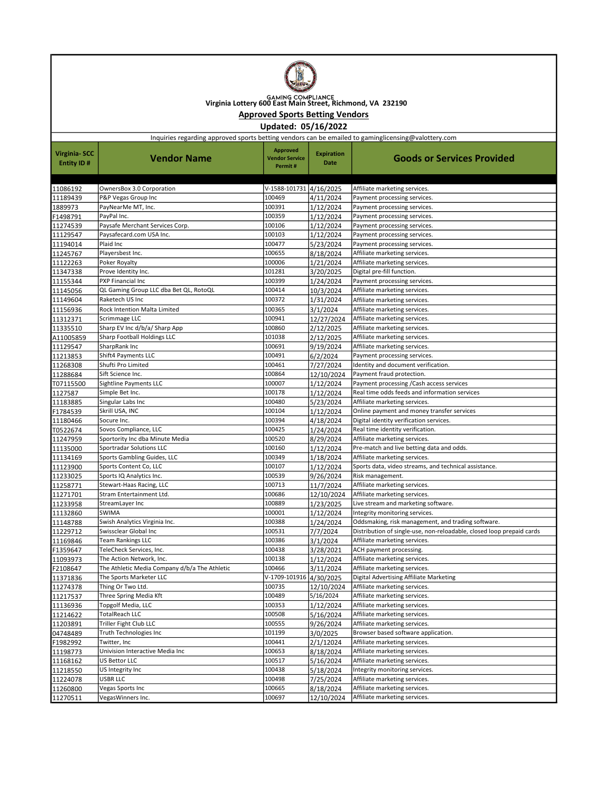

GAMING COMPLIANCE<br>Virginia Lottery 600 East Main Street, Richmond, VA 232190

## Approved Sports Betting Vendors

Updated: 05/16/2022

Inquiries regarding approved sports betting vendors can be emailed to gaminglicensing@valottery.com

| V-1588-101731 4/16/2025<br>11086192<br>OwnersBox 3.0 Corporation<br>Affiliate marketing services.<br>P&P Vegas Group Inc<br>100469<br>11189439<br>4/11/2024<br>Payment processing services.<br>1889973<br>PayNearMe MT, Inc.<br>100391<br>1/12/2024<br>Payment processing services.<br>100359<br>F1498791<br>PayPal Inc.<br>1/12/2024<br>Payment processing services.<br>Paysafe Merchant Services Corp.<br>100106<br>11274539<br>1/12/2024<br>Payment processing services.<br>100103<br>11129547<br>Paysafecard.com USA Inc.<br>1/12/2024<br>Payment processing services.<br>Plaid Inc<br>100477<br>11194014<br>5/23/2024<br>Payment processing services.<br>11245767<br>100655<br>Playersbest Inc.<br>8/18/2024<br>Affiliate marketing services.<br>11122263<br>Poker Royalty<br>100006<br>Affiliate marketing services.<br>1/21/2024<br>11347338<br>Prove Identity Inc.<br>101281<br>Digital pre-fill function.<br>3/20/2025<br>100399<br>11155344<br>PXP Financial Inc<br>1/24/2024<br>Payment processing services.<br>11145056<br>QL Gaming Group LLC dba Bet QL, RotoQL<br>100414<br>10/3/2024<br>Affiliate marketing services.<br>100372<br>11149604<br>Raketech US Inc<br>1/31/2024<br>Affiliate marketing services.<br>100365<br>11156936<br>Rock Intention Malta Limited<br>3/1/2024<br>Affiliate marketing services.<br>100941<br>Affiliate marketing services.<br>11312371<br>Scrimmage LLC<br>12/27/2024<br>100860<br>11335510<br>Sharp EV Inc d/b/a/ Sharp App<br>2/12/2025<br>Affiliate marketing services.<br>Sharp Football Holdings LLC<br>101038<br>Affiliate marketing services.<br>A11005859<br>2/12/2025<br>11129547<br>SharpRank Inc<br>100691<br>Affiliate marketing services.<br>9/19/2024<br>Shift4 Payments LLC<br>100491<br>Payment processing services.<br>11213853<br>6/2/2024<br>Shufti Pro Limited<br>100461<br>7/27/2024<br>Identity and document verification.<br>11268308<br>11288684<br>100864<br>12/10/2024<br>Payment fraud protection.<br>Sift Science Inc.<br>100007<br>T07115500<br>Sightline Payments LLC<br>1/12/2024<br>Payment processing / Cash access services<br>100178<br>Real time odds feeds and information services<br>1127587<br>Simple Bet Inc.<br>1/12/2024<br>100480<br>Affiliate marketing services.<br>11183885<br>Singular Labs Inc<br>5/23/2024<br>Skrill USA, INC<br>100104<br>Online payment and money transfer services<br>F1784539<br>1/12/2024<br>100394<br>11180466<br>Socure Inc.<br>Digital identity verification services.<br>4/18/2024<br>100425<br>T0522674<br>Sovos Compliance, LLC<br>1/24/2024<br>Real time identity verification.<br>100520<br>11247959<br>Sportority Inc dba Minute Media<br>8/29/2024<br>Affiliate marketing services.<br>Sportradar Solutions LLC<br>100160<br>Pre-match and live betting data and odds.<br>11135000<br>1/12/2024<br>11134169<br>Sports Gambling Guides, LLC<br>100349<br>Affiliate marketing services.<br>1/18/2024<br>100107<br>11123900<br>Sports Content Co, LLC<br>1/12/2024<br>Sports data, video streams, and technical assistance.<br>11233025<br>Sports IQ Analytics Inc.<br>100539<br>9/26/2024<br>Risk management.<br>100713<br>Affiliate marketing services.<br>11258771<br>Stewart-Haas Racing, LLC<br>11/7/2024<br>Stram Entertainment Ltd.<br>100686<br>11271701<br>12/10/2024<br>Affiliate marketing services.<br>100889<br>11233958<br>StreamLayer Inc<br>Live stream and marketing software.<br>1/23/2025<br>100001<br>11132860<br><b>SWIMA</b><br>1/12/2024<br>Integrity monitoring services.<br>100388<br>Oddsmaking, risk management, and trading software.<br>11148788<br>Swish Analytics Virginia Inc.<br>1/24/2024<br>Swissclear Global Inc<br>100531<br>Distribution of single-use, non-reloadable, closed loop prepaid cards<br>11229712<br>7/7/2024<br>100386<br>11169846<br><b>Team Rankings LLC</b><br>Affiliate marketing services.<br>3/1/2024<br>100438<br>F1359647<br>TeleCheck Services, Inc.<br>3/28/2021<br>ACH payment processing.<br>100138<br>11093973<br>The Action Network, Inc.<br>1/12/2024<br>Affiliate marketing services.<br>The Athletic Media Company d/b/a The Athletic<br>100466<br>F2108647<br>3/11/2024<br>Affiliate marketing services.<br>11371836<br>The Sports Marketer LLC<br>V-1709-101916<br>Digital Advertising Affiliate Marketing<br>4/30/2025<br>Thing Or Two Ltd.<br>100735<br>Affiliate marketing services.<br>11274378<br>12/10/2024<br>100489<br>5/16/2024<br>Three Spring Media Kft<br>11217537<br>Affiliate marketing services.<br>100353<br>11136936<br>Topgolf Media, LLC<br>1/12/2024<br>Affiliate marketing services.<br><b>TotalReach LLC</b><br>100508<br>Affiliate marketing services.<br>11214622<br>5/16/2024<br>11203891<br>Triller Fight Club LLC<br>100555<br>Affiliate marketing services.<br>9/26/2024<br>101199<br>04748489<br>Truth Technologies Inc<br>Browser based software application.<br>3/0/2025<br>100441<br>Affiliate marketing services.<br>F1982992<br>Twitter, Inc<br>2/1/12024<br>100653<br>Univision Interactive Media Inc<br>Affiliate marketing services.<br>11198773<br>8/18/2024<br>100517<br>US Bettor LLC<br>Affiliate marketing services.<br>11168162<br>5/16/2024<br>100438<br>11218550<br>US Integrity Inc<br>5/18/2024<br>Integrity monitoring services.<br>USBR LLC<br>100498<br>Affiliate marketing services.<br>11224078<br>7/25/2024<br>100665<br>Affiliate marketing services.<br>11260800<br>Vegas Sports Inc<br>8/18/2024<br>Affiliate marketing services.<br>VegasWinners Inc.<br>100697<br>11270511<br>12/10/2024 | <b>Virginia-SCC</b><br>Entity ID# | <b>Vendor Name</b> | <b>Approved</b><br><b>Vendor Service</b><br>Permit# | <b>Expiration</b><br>Date | <b>Goods or Services Provided</b> |
|--------------------------------------------------------------------------------------------------------------------------------------------------------------------------------------------------------------------------------------------------------------------------------------------------------------------------------------------------------------------------------------------------------------------------------------------------------------------------------------------------------------------------------------------------------------------------------------------------------------------------------------------------------------------------------------------------------------------------------------------------------------------------------------------------------------------------------------------------------------------------------------------------------------------------------------------------------------------------------------------------------------------------------------------------------------------------------------------------------------------------------------------------------------------------------------------------------------------------------------------------------------------------------------------------------------------------------------------------------------------------------------------------------------------------------------------------------------------------------------------------------------------------------------------------------------------------------------------------------------------------------------------------------------------------------------------------------------------------------------------------------------------------------------------------------------------------------------------------------------------------------------------------------------------------------------------------------------------------------------------------------------------------------------------------------------------------------------------------------------------------------------------------------------------------------------------------------------------------------------------------------------------------------------------------------------------------------------------------------------------------------------------------------------------------------------------------------------------------------------------------------------------------------------------------------------------------------------------------------------------------------------------------------------------------------------------------------------------------------------------------------------------------------------------------------------------------------------------------------------------------------------------------------------------------------------------------------------------------------------------------------------------------------------------------------------------------------------------------------------------------------------------------------------------------------------------------------------------------------------------------------------------------------------------------------------------------------------------------------------------------------------------------------------------------------------------------------------------------------------------------------------------------------------------------------------------------------------------------------------------------------------------------------------------------------------------------------------------------------------------------------------------------------------------------------------------------------------------------------------------------------------------------------------------------------------------------------------------------------------------------------------------------------------------------------------------------------------------------------------------------------------------------------------------------------------------------------------------------------------------------------------------------------------------------------------------------------------------------------------------------------------------------------------------------------------------------------------------------------------------------------------------------------------------------------------------------------------------------------------------------------------------------------------------------------------------------------------------------------------------------------------------------------------------------------------------------------------------------------------------------------------------------------------------------------------------------------------------------------------------------------------------------------------------------------------------------------------------------------------------------------------------------------------------------------------------------------------------------------------------------------------------------------------------------------------------------------------------------------------------------------------------------------------------------------------------------------------------------------------------------------------------------------------------------------|-----------------------------------|--------------------|-----------------------------------------------------|---------------------------|-----------------------------------|
|                                                                                                                                                                                                                                                                                                                                                                                                                                                                                                                                                                                                                                                                                                                                                                                                                                                                                                                                                                                                                                                                                                                                                                                                                                                                                                                                                                                                                                                                                                                                                                                                                                                                                                                                                                                                                                                                                                                                                                                                                                                                                                                                                                                                                                                                                                                                                                                                                                                                                                                                                                                                                                                                                                                                                                                                                                                                                                                                                                                                                                                                                                                                                                                                                                                                                                                                                                                                                                                                                                                                                                                                                                                                                                                                                                                                                                                                                                                                                                                                                                                                                                                                                                                                                                                                                                                                                                                                                                                                                                                                                                                                                                                                                                                                                                                                                                                                                                                                                                                                                                                                                                                                                                                                                                                                                                                                                                                                                                                                                                                                                        |                                   |                    |                                                     |                           |                                   |
|                                                                                                                                                                                                                                                                                                                                                                                                                                                                                                                                                                                                                                                                                                                                                                                                                                                                                                                                                                                                                                                                                                                                                                                                                                                                                                                                                                                                                                                                                                                                                                                                                                                                                                                                                                                                                                                                                                                                                                                                                                                                                                                                                                                                                                                                                                                                                                                                                                                                                                                                                                                                                                                                                                                                                                                                                                                                                                                                                                                                                                                                                                                                                                                                                                                                                                                                                                                                                                                                                                                                                                                                                                                                                                                                                                                                                                                                                                                                                                                                                                                                                                                                                                                                                                                                                                                                                                                                                                                                                                                                                                                                                                                                                                                                                                                                                                                                                                                                                                                                                                                                                                                                                                                                                                                                                                                                                                                                                                                                                                                                                        |                                   |                    |                                                     |                           |                                   |
|                                                                                                                                                                                                                                                                                                                                                                                                                                                                                                                                                                                                                                                                                                                                                                                                                                                                                                                                                                                                                                                                                                                                                                                                                                                                                                                                                                                                                                                                                                                                                                                                                                                                                                                                                                                                                                                                                                                                                                                                                                                                                                                                                                                                                                                                                                                                                                                                                                                                                                                                                                                                                                                                                                                                                                                                                                                                                                                                                                                                                                                                                                                                                                                                                                                                                                                                                                                                                                                                                                                                                                                                                                                                                                                                                                                                                                                                                                                                                                                                                                                                                                                                                                                                                                                                                                                                                                                                                                                                                                                                                                                                                                                                                                                                                                                                                                                                                                                                                                                                                                                                                                                                                                                                                                                                                                                                                                                                                                                                                                                                                        |                                   |                    |                                                     |                           |                                   |
|                                                                                                                                                                                                                                                                                                                                                                                                                                                                                                                                                                                                                                                                                                                                                                                                                                                                                                                                                                                                                                                                                                                                                                                                                                                                                                                                                                                                                                                                                                                                                                                                                                                                                                                                                                                                                                                                                                                                                                                                                                                                                                                                                                                                                                                                                                                                                                                                                                                                                                                                                                                                                                                                                                                                                                                                                                                                                                                                                                                                                                                                                                                                                                                                                                                                                                                                                                                                                                                                                                                                                                                                                                                                                                                                                                                                                                                                                                                                                                                                                                                                                                                                                                                                                                                                                                                                                                                                                                                                                                                                                                                                                                                                                                                                                                                                                                                                                                                                                                                                                                                                                                                                                                                                                                                                                                                                                                                                                                                                                                                                                        |                                   |                    |                                                     |                           |                                   |
|                                                                                                                                                                                                                                                                                                                                                                                                                                                                                                                                                                                                                                                                                                                                                                                                                                                                                                                                                                                                                                                                                                                                                                                                                                                                                                                                                                                                                                                                                                                                                                                                                                                                                                                                                                                                                                                                                                                                                                                                                                                                                                                                                                                                                                                                                                                                                                                                                                                                                                                                                                                                                                                                                                                                                                                                                                                                                                                                                                                                                                                                                                                                                                                                                                                                                                                                                                                                                                                                                                                                                                                                                                                                                                                                                                                                                                                                                                                                                                                                                                                                                                                                                                                                                                                                                                                                                                                                                                                                                                                                                                                                                                                                                                                                                                                                                                                                                                                                                                                                                                                                                                                                                                                                                                                                                                                                                                                                                                                                                                                                                        |                                   |                    |                                                     |                           |                                   |
|                                                                                                                                                                                                                                                                                                                                                                                                                                                                                                                                                                                                                                                                                                                                                                                                                                                                                                                                                                                                                                                                                                                                                                                                                                                                                                                                                                                                                                                                                                                                                                                                                                                                                                                                                                                                                                                                                                                                                                                                                                                                                                                                                                                                                                                                                                                                                                                                                                                                                                                                                                                                                                                                                                                                                                                                                                                                                                                                                                                                                                                                                                                                                                                                                                                                                                                                                                                                                                                                                                                                                                                                                                                                                                                                                                                                                                                                                                                                                                                                                                                                                                                                                                                                                                                                                                                                                                                                                                                                                                                                                                                                                                                                                                                                                                                                                                                                                                                                                                                                                                                                                                                                                                                                                                                                                                                                                                                                                                                                                                                                                        |                                   |                    |                                                     |                           |                                   |
|                                                                                                                                                                                                                                                                                                                                                                                                                                                                                                                                                                                                                                                                                                                                                                                                                                                                                                                                                                                                                                                                                                                                                                                                                                                                                                                                                                                                                                                                                                                                                                                                                                                                                                                                                                                                                                                                                                                                                                                                                                                                                                                                                                                                                                                                                                                                                                                                                                                                                                                                                                                                                                                                                                                                                                                                                                                                                                                                                                                                                                                                                                                                                                                                                                                                                                                                                                                                                                                                                                                                                                                                                                                                                                                                                                                                                                                                                                                                                                                                                                                                                                                                                                                                                                                                                                                                                                                                                                                                                                                                                                                                                                                                                                                                                                                                                                                                                                                                                                                                                                                                                                                                                                                                                                                                                                                                                                                                                                                                                                                                                        |                                   |                    |                                                     |                           |                                   |
|                                                                                                                                                                                                                                                                                                                                                                                                                                                                                                                                                                                                                                                                                                                                                                                                                                                                                                                                                                                                                                                                                                                                                                                                                                                                                                                                                                                                                                                                                                                                                                                                                                                                                                                                                                                                                                                                                                                                                                                                                                                                                                                                                                                                                                                                                                                                                                                                                                                                                                                                                                                                                                                                                                                                                                                                                                                                                                                                                                                                                                                                                                                                                                                                                                                                                                                                                                                                                                                                                                                                                                                                                                                                                                                                                                                                                                                                                                                                                                                                                                                                                                                                                                                                                                                                                                                                                                                                                                                                                                                                                                                                                                                                                                                                                                                                                                                                                                                                                                                                                                                                                                                                                                                                                                                                                                                                                                                                                                                                                                                                                        |                                   |                    |                                                     |                           |                                   |
|                                                                                                                                                                                                                                                                                                                                                                                                                                                                                                                                                                                                                                                                                                                                                                                                                                                                                                                                                                                                                                                                                                                                                                                                                                                                                                                                                                                                                                                                                                                                                                                                                                                                                                                                                                                                                                                                                                                                                                                                                                                                                                                                                                                                                                                                                                                                                                                                                                                                                                                                                                                                                                                                                                                                                                                                                                                                                                                                                                                                                                                                                                                                                                                                                                                                                                                                                                                                                                                                                                                                                                                                                                                                                                                                                                                                                                                                                                                                                                                                                                                                                                                                                                                                                                                                                                                                                                                                                                                                                                                                                                                                                                                                                                                                                                                                                                                                                                                                                                                                                                                                                                                                                                                                                                                                                                                                                                                                                                                                                                                                                        |                                   |                    |                                                     |                           |                                   |
|                                                                                                                                                                                                                                                                                                                                                                                                                                                                                                                                                                                                                                                                                                                                                                                                                                                                                                                                                                                                                                                                                                                                                                                                                                                                                                                                                                                                                                                                                                                                                                                                                                                                                                                                                                                                                                                                                                                                                                                                                                                                                                                                                                                                                                                                                                                                                                                                                                                                                                                                                                                                                                                                                                                                                                                                                                                                                                                                                                                                                                                                                                                                                                                                                                                                                                                                                                                                                                                                                                                                                                                                                                                                                                                                                                                                                                                                                                                                                                                                                                                                                                                                                                                                                                                                                                                                                                                                                                                                                                                                                                                                                                                                                                                                                                                                                                                                                                                                                                                                                                                                                                                                                                                                                                                                                                                                                                                                                                                                                                                                                        |                                   |                    |                                                     |                           |                                   |
|                                                                                                                                                                                                                                                                                                                                                                                                                                                                                                                                                                                                                                                                                                                                                                                                                                                                                                                                                                                                                                                                                                                                                                                                                                                                                                                                                                                                                                                                                                                                                                                                                                                                                                                                                                                                                                                                                                                                                                                                                                                                                                                                                                                                                                                                                                                                                                                                                                                                                                                                                                                                                                                                                                                                                                                                                                                                                                                                                                                                                                                                                                                                                                                                                                                                                                                                                                                                                                                                                                                                                                                                                                                                                                                                                                                                                                                                                                                                                                                                                                                                                                                                                                                                                                                                                                                                                                                                                                                                                                                                                                                                                                                                                                                                                                                                                                                                                                                                                                                                                                                                                                                                                                                                                                                                                                                                                                                                                                                                                                                                                        |                                   |                    |                                                     |                           |                                   |
|                                                                                                                                                                                                                                                                                                                                                                                                                                                                                                                                                                                                                                                                                                                                                                                                                                                                                                                                                                                                                                                                                                                                                                                                                                                                                                                                                                                                                                                                                                                                                                                                                                                                                                                                                                                                                                                                                                                                                                                                                                                                                                                                                                                                                                                                                                                                                                                                                                                                                                                                                                                                                                                                                                                                                                                                                                                                                                                                                                                                                                                                                                                                                                                                                                                                                                                                                                                                                                                                                                                                                                                                                                                                                                                                                                                                                                                                                                                                                                                                                                                                                                                                                                                                                                                                                                                                                                                                                                                                                                                                                                                                                                                                                                                                                                                                                                                                                                                                                                                                                                                                                                                                                                                                                                                                                                                                                                                                                                                                                                                                                        |                                   |                    |                                                     |                           |                                   |
|                                                                                                                                                                                                                                                                                                                                                                                                                                                                                                                                                                                                                                                                                                                                                                                                                                                                                                                                                                                                                                                                                                                                                                                                                                                                                                                                                                                                                                                                                                                                                                                                                                                                                                                                                                                                                                                                                                                                                                                                                                                                                                                                                                                                                                                                                                                                                                                                                                                                                                                                                                                                                                                                                                                                                                                                                                                                                                                                                                                                                                                                                                                                                                                                                                                                                                                                                                                                                                                                                                                                                                                                                                                                                                                                                                                                                                                                                                                                                                                                                                                                                                                                                                                                                                                                                                                                                                                                                                                                                                                                                                                                                                                                                                                                                                                                                                                                                                                                                                                                                                                                                                                                                                                                                                                                                                                                                                                                                                                                                                                                                        |                                   |                    |                                                     |                           |                                   |
|                                                                                                                                                                                                                                                                                                                                                                                                                                                                                                                                                                                                                                                                                                                                                                                                                                                                                                                                                                                                                                                                                                                                                                                                                                                                                                                                                                                                                                                                                                                                                                                                                                                                                                                                                                                                                                                                                                                                                                                                                                                                                                                                                                                                                                                                                                                                                                                                                                                                                                                                                                                                                                                                                                                                                                                                                                                                                                                                                                                                                                                                                                                                                                                                                                                                                                                                                                                                                                                                                                                                                                                                                                                                                                                                                                                                                                                                                                                                                                                                                                                                                                                                                                                                                                                                                                                                                                                                                                                                                                                                                                                                                                                                                                                                                                                                                                                                                                                                                                                                                                                                                                                                                                                                                                                                                                                                                                                                                                                                                                                                                        |                                   |                    |                                                     |                           |                                   |
|                                                                                                                                                                                                                                                                                                                                                                                                                                                                                                                                                                                                                                                                                                                                                                                                                                                                                                                                                                                                                                                                                                                                                                                                                                                                                                                                                                                                                                                                                                                                                                                                                                                                                                                                                                                                                                                                                                                                                                                                                                                                                                                                                                                                                                                                                                                                                                                                                                                                                                                                                                                                                                                                                                                                                                                                                                                                                                                                                                                                                                                                                                                                                                                                                                                                                                                                                                                                                                                                                                                                                                                                                                                                                                                                                                                                                                                                                                                                                                                                                                                                                                                                                                                                                                                                                                                                                                                                                                                                                                                                                                                                                                                                                                                                                                                                                                                                                                                                                                                                                                                                                                                                                                                                                                                                                                                                                                                                                                                                                                                                                        |                                   |                    |                                                     |                           |                                   |
|                                                                                                                                                                                                                                                                                                                                                                                                                                                                                                                                                                                                                                                                                                                                                                                                                                                                                                                                                                                                                                                                                                                                                                                                                                                                                                                                                                                                                                                                                                                                                                                                                                                                                                                                                                                                                                                                                                                                                                                                                                                                                                                                                                                                                                                                                                                                                                                                                                                                                                                                                                                                                                                                                                                                                                                                                                                                                                                                                                                                                                                                                                                                                                                                                                                                                                                                                                                                                                                                                                                                                                                                                                                                                                                                                                                                                                                                                                                                                                                                                                                                                                                                                                                                                                                                                                                                                                                                                                                                                                                                                                                                                                                                                                                                                                                                                                                                                                                                                                                                                                                                                                                                                                                                                                                                                                                                                                                                                                                                                                                                                        |                                   |                    |                                                     |                           |                                   |
|                                                                                                                                                                                                                                                                                                                                                                                                                                                                                                                                                                                                                                                                                                                                                                                                                                                                                                                                                                                                                                                                                                                                                                                                                                                                                                                                                                                                                                                                                                                                                                                                                                                                                                                                                                                                                                                                                                                                                                                                                                                                                                                                                                                                                                                                                                                                                                                                                                                                                                                                                                                                                                                                                                                                                                                                                                                                                                                                                                                                                                                                                                                                                                                                                                                                                                                                                                                                                                                                                                                                                                                                                                                                                                                                                                                                                                                                                                                                                                                                                                                                                                                                                                                                                                                                                                                                                                                                                                                                                                                                                                                                                                                                                                                                                                                                                                                                                                                                                                                                                                                                                                                                                                                                                                                                                                                                                                                                                                                                                                                                                        |                                   |                    |                                                     |                           |                                   |
|                                                                                                                                                                                                                                                                                                                                                                                                                                                                                                                                                                                                                                                                                                                                                                                                                                                                                                                                                                                                                                                                                                                                                                                                                                                                                                                                                                                                                                                                                                                                                                                                                                                                                                                                                                                                                                                                                                                                                                                                                                                                                                                                                                                                                                                                                                                                                                                                                                                                                                                                                                                                                                                                                                                                                                                                                                                                                                                                                                                                                                                                                                                                                                                                                                                                                                                                                                                                                                                                                                                                                                                                                                                                                                                                                                                                                                                                                                                                                                                                                                                                                                                                                                                                                                                                                                                                                                                                                                                                                                                                                                                                                                                                                                                                                                                                                                                                                                                                                                                                                                                                                                                                                                                                                                                                                                                                                                                                                                                                                                                                                        |                                   |                    |                                                     |                           |                                   |
|                                                                                                                                                                                                                                                                                                                                                                                                                                                                                                                                                                                                                                                                                                                                                                                                                                                                                                                                                                                                                                                                                                                                                                                                                                                                                                                                                                                                                                                                                                                                                                                                                                                                                                                                                                                                                                                                                                                                                                                                                                                                                                                                                                                                                                                                                                                                                                                                                                                                                                                                                                                                                                                                                                                                                                                                                                                                                                                                                                                                                                                                                                                                                                                                                                                                                                                                                                                                                                                                                                                                                                                                                                                                                                                                                                                                                                                                                                                                                                                                                                                                                                                                                                                                                                                                                                                                                                                                                                                                                                                                                                                                                                                                                                                                                                                                                                                                                                                                                                                                                                                                                                                                                                                                                                                                                                                                                                                                                                                                                                                                                        |                                   |                    |                                                     |                           |                                   |
|                                                                                                                                                                                                                                                                                                                                                                                                                                                                                                                                                                                                                                                                                                                                                                                                                                                                                                                                                                                                                                                                                                                                                                                                                                                                                                                                                                                                                                                                                                                                                                                                                                                                                                                                                                                                                                                                                                                                                                                                                                                                                                                                                                                                                                                                                                                                                                                                                                                                                                                                                                                                                                                                                                                                                                                                                                                                                                                                                                                                                                                                                                                                                                                                                                                                                                                                                                                                                                                                                                                                                                                                                                                                                                                                                                                                                                                                                                                                                                                                                                                                                                                                                                                                                                                                                                                                                                                                                                                                                                                                                                                                                                                                                                                                                                                                                                                                                                                                                                                                                                                                                                                                                                                                                                                                                                                                                                                                                                                                                                                                                        |                                   |                    |                                                     |                           |                                   |
|                                                                                                                                                                                                                                                                                                                                                                                                                                                                                                                                                                                                                                                                                                                                                                                                                                                                                                                                                                                                                                                                                                                                                                                                                                                                                                                                                                                                                                                                                                                                                                                                                                                                                                                                                                                                                                                                                                                                                                                                                                                                                                                                                                                                                                                                                                                                                                                                                                                                                                                                                                                                                                                                                                                                                                                                                                                                                                                                                                                                                                                                                                                                                                                                                                                                                                                                                                                                                                                                                                                                                                                                                                                                                                                                                                                                                                                                                                                                                                                                                                                                                                                                                                                                                                                                                                                                                                                                                                                                                                                                                                                                                                                                                                                                                                                                                                                                                                                                                                                                                                                                                                                                                                                                                                                                                                                                                                                                                                                                                                                                                        |                                   |                    |                                                     |                           |                                   |
|                                                                                                                                                                                                                                                                                                                                                                                                                                                                                                                                                                                                                                                                                                                                                                                                                                                                                                                                                                                                                                                                                                                                                                                                                                                                                                                                                                                                                                                                                                                                                                                                                                                                                                                                                                                                                                                                                                                                                                                                                                                                                                                                                                                                                                                                                                                                                                                                                                                                                                                                                                                                                                                                                                                                                                                                                                                                                                                                                                                                                                                                                                                                                                                                                                                                                                                                                                                                                                                                                                                                                                                                                                                                                                                                                                                                                                                                                                                                                                                                                                                                                                                                                                                                                                                                                                                                                                                                                                                                                                                                                                                                                                                                                                                                                                                                                                                                                                                                                                                                                                                                                                                                                                                                                                                                                                                                                                                                                                                                                                                                                        |                                   |                    |                                                     |                           |                                   |
|                                                                                                                                                                                                                                                                                                                                                                                                                                                                                                                                                                                                                                                                                                                                                                                                                                                                                                                                                                                                                                                                                                                                                                                                                                                                                                                                                                                                                                                                                                                                                                                                                                                                                                                                                                                                                                                                                                                                                                                                                                                                                                                                                                                                                                                                                                                                                                                                                                                                                                                                                                                                                                                                                                                                                                                                                                                                                                                                                                                                                                                                                                                                                                                                                                                                                                                                                                                                                                                                                                                                                                                                                                                                                                                                                                                                                                                                                                                                                                                                                                                                                                                                                                                                                                                                                                                                                                                                                                                                                                                                                                                                                                                                                                                                                                                                                                                                                                                                                                                                                                                                                                                                                                                                                                                                                                                                                                                                                                                                                                                                                        |                                   |                    |                                                     |                           |                                   |
|                                                                                                                                                                                                                                                                                                                                                                                                                                                                                                                                                                                                                                                                                                                                                                                                                                                                                                                                                                                                                                                                                                                                                                                                                                                                                                                                                                                                                                                                                                                                                                                                                                                                                                                                                                                                                                                                                                                                                                                                                                                                                                                                                                                                                                                                                                                                                                                                                                                                                                                                                                                                                                                                                                                                                                                                                                                                                                                                                                                                                                                                                                                                                                                                                                                                                                                                                                                                                                                                                                                                                                                                                                                                                                                                                                                                                                                                                                                                                                                                                                                                                                                                                                                                                                                                                                                                                                                                                                                                                                                                                                                                                                                                                                                                                                                                                                                                                                                                                                                                                                                                                                                                                                                                                                                                                                                                                                                                                                                                                                                                                        |                                   |                    |                                                     |                           |                                   |
|                                                                                                                                                                                                                                                                                                                                                                                                                                                                                                                                                                                                                                                                                                                                                                                                                                                                                                                                                                                                                                                                                                                                                                                                                                                                                                                                                                                                                                                                                                                                                                                                                                                                                                                                                                                                                                                                                                                                                                                                                                                                                                                                                                                                                                                                                                                                                                                                                                                                                                                                                                                                                                                                                                                                                                                                                                                                                                                                                                                                                                                                                                                                                                                                                                                                                                                                                                                                                                                                                                                                                                                                                                                                                                                                                                                                                                                                                                                                                                                                                                                                                                                                                                                                                                                                                                                                                                                                                                                                                                                                                                                                                                                                                                                                                                                                                                                                                                                                                                                                                                                                                                                                                                                                                                                                                                                                                                                                                                                                                                                                                        |                                   |                    |                                                     |                           |                                   |
|                                                                                                                                                                                                                                                                                                                                                                                                                                                                                                                                                                                                                                                                                                                                                                                                                                                                                                                                                                                                                                                                                                                                                                                                                                                                                                                                                                                                                                                                                                                                                                                                                                                                                                                                                                                                                                                                                                                                                                                                                                                                                                                                                                                                                                                                                                                                                                                                                                                                                                                                                                                                                                                                                                                                                                                                                                                                                                                                                                                                                                                                                                                                                                                                                                                                                                                                                                                                                                                                                                                                                                                                                                                                                                                                                                                                                                                                                                                                                                                                                                                                                                                                                                                                                                                                                                                                                                                                                                                                                                                                                                                                                                                                                                                                                                                                                                                                                                                                                                                                                                                                                                                                                                                                                                                                                                                                                                                                                                                                                                                                                        |                                   |                    |                                                     |                           |                                   |
|                                                                                                                                                                                                                                                                                                                                                                                                                                                                                                                                                                                                                                                                                                                                                                                                                                                                                                                                                                                                                                                                                                                                                                                                                                                                                                                                                                                                                                                                                                                                                                                                                                                                                                                                                                                                                                                                                                                                                                                                                                                                                                                                                                                                                                                                                                                                                                                                                                                                                                                                                                                                                                                                                                                                                                                                                                                                                                                                                                                                                                                                                                                                                                                                                                                                                                                                                                                                                                                                                                                                                                                                                                                                                                                                                                                                                                                                                                                                                                                                                                                                                                                                                                                                                                                                                                                                                                                                                                                                                                                                                                                                                                                                                                                                                                                                                                                                                                                                                                                                                                                                                                                                                                                                                                                                                                                                                                                                                                                                                                                                                        |                                   |                    |                                                     |                           |                                   |
|                                                                                                                                                                                                                                                                                                                                                                                                                                                                                                                                                                                                                                                                                                                                                                                                                                                                                                                                                                                                                                                                                                                                                                                                                                                                                                                                                                                                                                                                                                                                                                                                                                                                                                                                                                                                                                                                                                                                                                                                                                                                                                                                                                                                                                                                                                                                                                                                                                                                                                                                                                                                                                                                                                                                                                                                                                                                                                                                                                                                                                                                                                                                                                                                                                                                                                                                                                                                                                                                                                                                                                                                                                                                                                                                                                                                                                                                                                                                                                                                                                                                                                                                                                                                                                                                                                                                                                                                                                                                                                                                                                                                                                                                                                                                                                                                                                                                                                                                                                                                                                                                                                                                                                                                                                                                                                                                                                                                                                                                                                                                                        |                                   |                    |                                                     |                           |                                   |
|                                                                                                                                                                                                                                                                                                                                                                                                                                                                                                                                                                                                                                                                                                                                                                                                                                                                                                                                                                                                                                                                                                                                                                                                                                                                                                                                                                                                                                                                                                                                                                                                                                                                                                                                                                                                                                                                                                                                                                                                                                                                                                                                                                                                                                                                                                                                                                                                                                                                                                                                                                                                                                                                                                                                                                                                                                                                                                                                                                                                                                                                                                                                                                                                                                                                                                                                                                                                                                                                                                                                                                                                                                                                                                                                                                                                                                                                                                                                                                                                                                                                                                                                                                                                                                                                                                                                                                                                                                                                                                                                                                                                                                                                                                                                                                                                                                                                                                                                                                                                                                                                                                                                                                                                                                                                                                                                                                                                                                                                                                                                                        |                                   |                    |                                                     |                           |                                   |
|                                                                                                                                                                                                                                                                                                                                                                                                                                                                                                                                                                                                                                                                                                                                                                                                                                                                                                                                                                                                                                                                                                                                                                                                                                                                                                                                                                                                                                                                                                                                                                                                                                                                                                                                                                                                                                                                                                                                                                                                                                                                                                                                                                                                                                                                                                                                                                                                                                                                                                                                                                                                                                                                                                                                                                                                                                                                                                                                                                                                                                                                                                                                                                                                                                                                                                                                                                                                                                                                                                                                                                                                                                                                                                                                                                                                                                                                                                                                                                                                                                                                                                                                                                                                                                                                                                                                                                                                                                                                                                                                                                                                                                                                                                                                                                                                                                                                                                                                                                                                                                                                                                                                                                                                                                                                                                                                                                                                                                                                                                                                                        |                                   |                    |                                                     |                           |                                   |
|                                                                                                                                                                                                                                                                                                                                                                                                                                                                                                                                                                                                                                                                                                                                                                                                                                                                                                                                                                                                                                                                                                                                                                                                                                                                                                                                                                                                                                                                                                                                                                                                                                                                                                                                                                                                                                                                                                                                                                                                                                                                                                                                                                                                                                                                                                                                                                                                                                                                                                                                                                                                                                                                                                                                                                                                                                                                                                                                                                                                                                                                                                                                                                                                                                                                                                                                                                                                                                                                                                                                                                                                                                                                                                                                                                                                                                                                                                                                                                                                                                                                                                                                                                                                                                                                                                                                                                                                                                                                                                                                                                                                                                                                                                                                                                                                                                                                                                                                                                                                                                                                                                                                                                                                                                                                                                                                                                                                                                                                                                                                                        |                                   |                    |                                                     |                           |                                   |
|                                                                                                                                                                                                                                                                                                                                                                                                                                                                                                                                                                                                                                                                                                                                                                                                                                                                                                                                                                                                                                                                                                                                                                                                                                                                                                                                                                                                                                                                                                                                                                                                                                                                                                                                                                                                                                                                                                                                                                                                                                                                                                                                                                                                                                                                                                                                                                                                                                                                                                                                                                                                                                                                                                                                                                                                                                                                                                                                                                                                                                                                                                                                                                                                                                                                                                                                                                                                                                                                                                                                                                                                                                                                                                                                                                                                                                                                                                                                                                                                                                                                                                                                                                                                                                                                                                                                                                                                                                                                                                                                                                                                                                                                                                                                                                                                                                                                                                                                                                                                                                                                                                                                                                                                                                                                                                                                                                                                                                                                                                                                                        |                                   |                    |                                                     |                           |                                   |
|                                                                                                                                                                                                                                                                                                                                                                                                                                                                                                                                                                                                                                                                                                                                                                                                                                                                                                                                                                                                                                                                                                                                                                                                                                                                                                                                                                                                                                                                                                                                                                                                                                                                                                                                                                                                                                                                                                                                                                                                                                                                                                                                                                                                                                                                                                                                                                                                                                                                                                                                                                                                                                                                                                                                                                                                                                                                                                                                                                                                                                                                                                                                                                                                                                                                                                                                                                                                                                                                                                                                                                                                                                                                                                                                                                                                                                                                                                                                                                                                                                                                                                                                                                                                                                                                                                                                                                                                                                                                                                                                                                                                                                                                                                                                                                                                                                                                                                                                                                                                                                                                                                                                                                                                                                                                                                                                                                                                                                                                                                                                                        |                                   |                    |                                                     |                           |                                   |
|                                                                                                                                                                                                                                                                                                                                                                                                                                                                                                                                                                                                                                                                                                                                                                                                                                                                                                                                                                                                                                                                                                                                                                                                                                                                                                                                                                                                                                                                                                                                                                                                                                                                                                                                                                                                                                                                                                                                                                                                                                                                                                                                                                                                                                                                                                                                                                                                                                                                                                                                                                                                                                                                                                                                                                                                                                                                                                                                                                                                                                                                                                                                                                                                                                                                                                                                                                                                                                                                                                                                                                                                                                                                                                                                                                                                                                                                                                                                                                                                                                                                                                                                                                                                                                                                                                                                                                                                                                                                                                                                                                                                                                                                                                                                                                                                                                                                                                                                                                                                                                                                                                                                                                                                                                                                                                                                                                                                                                                                                                                                                        |                                   |                    |                                                     |                           |                                   |
|                                                                                                                                                                                                                                                                                                                                                                                                                                                                                                                                                                                                                                                                                                                                                                                                                                                                                                                                                                                                                                                                                                                                                                                                                                                                                                                                                                                                                                                                                                                                                                                                                                                                                                                                                                                                                                                                                                                                                                                                                                                                                                                                                                                                                                                                                                                                                                                                                                                                                                                                                                                                                                                                                                                                                                                                                                                                                                                                                                                                                                                                                                                                                                                                                                                                                                                                                                                                                                                                                                                                                                                                                                                                                                                                                                                                                                                                                                                                                                                                                                                                                                                                                                                                                                                                                                                                                                                                                                                                                                                                                                                                                                                                                                                                                                                                                                                                                                                                                                                                                                                                                                                                                                                                                                                                                                                                                                                                                                                                                                                                                        |                                   |                    |                                                     |                           |                                   |
|                                                                                                                                                                                                                                                                                                                                                                                                                                                                                                                                                                                                                                                                                                                                                                                                                                                                                                                                                                                                                                                                                                                                                                                                                                                                                                                                                                                                                                                                                                                                                                                                                                                                                                                                                                                                                                                                                                                                                                                                                                                                                                                                                                                                                                                                                                                                                                                                                                                                                                                                                                                                                                                                                                                                                                                                                                                                                                                                                                                                                                                                                                                                                                                                                                                                                                                                                                                                                                                                                                                                                                                                                                                                                                                                                                                                                                                                                                                                                                                                                                                                                                                                                                                                                                                                                                                                                                                                                                                                                                                                                                                                                                                                                                                                                                                                                                                                                                                                                                                                                                                                                                                                                                                                                                                                                                                                                                                                                                                                                                                                                        |                                   |                    |                                                     |                           |                                   |
|                                                                                                                                                                                                                                                                                                                                                                                                                                                                                                                                                                                                                                                                                                                                                                                                                                                                                                                                                                                                                                                                                                                                                                                                                                                                                                                                                                                                                                                                                                                                                                                                                                                                                                                                                                                                                                                                                                                                                                                                                                                                                                                                                                                                                                                                                                                                                                                                                                                                                                                                                                                                                                                                                                                                                                                                                                                                                                                                                                                                                                                                                                                                                                                                                                                                                                                                                                                                                                                                                                                                                                                                                                                                                                                                                                                                                                                                                                                                                                                                                                                                                                                                                                                                                                                                                                                                                                                                                                                                                                                                                                                                                                                                                                                                                                                                                                                                                                                                                                                                                                                                                                                                                                                                                                                                                                                                                                                                                                                                                                                                                        |                                   |                    |                                                     |                           |                                   |
|                                                                                                                                                                                                                                                                                                                                                                                                                                                                                                                                                                                                                                                                                                                                                                                                                                                                                                                                                                                                                                                                                                                                                                                                                                                                                                                                                                                                                                                                                                                                                                                                                                                                                                                                                                                                                                                                                                                                                                                                                                                                                                                                                                                                                                                                                                                                                                                                                                                                                                                                                                                                                                                                                                                                                                                                                                                                                                                                                                                                                                                                                                                                                                                                                                                                                                                                                                                                                                                                                                                                                                                                                                                                                                                                                                                                                                                                                                                                                                                                                                                                                                                                                                                                                                                                                                                                                                                                                                                                                                                                                                                                                                                                                                                                                                                                                                                                                                                                                                                                                                                                                                                                                                                                                                                                                                                                                                                                                                                                                                                                                        |                                   |                    |                                                     |                           |                                   |
|                                                                                                                                                                                                                                                                                                                                                                                                                                                                                                                                                                                                                                                                                                                                                                                                                                                                                                                                                                                                                                                                                                                                                                                                                                                                                                                                                                                                                                                                                                                                                                                                                                                                                                                                                                                                                                                                                                                                                                                                                                                                                                                                                                                                                                                                                                                                                                                                                                                                                                                                                                                                                                                                                                                                                                                                                                                                                                                                                                                                                                                                                                                                                                                                                                                                                                                                                                                                                                                                                                                                                                                                                                                                                                                                                                                                                                                                                                                                                                                                                                                                                                                                                                                                                                                                                                                                                                                                                                                                                                                                                                                                                                                                                                                                                                                                                                                                                                                                                                                                                                                                                                                                                                                                                                                                                                                                                                                                                                                                                                                                                        |                                   |                    |                                                     |                           |                                   |
|                                                                                                                                                                                                                                                                                                                                                                                                                                                                                                                                                                                                                                                                                                                                                                                                                                                                                                                                                                                                                                                                                                                                                                                                                                                                                                                                                                                                                                                                                                                                                                                                                                                                                                                                                                                                                                                                                                                                                                                                                                                                                                                                                                                                                                                                                                                                                                                                                                                                                                                                                                                                                                                                                                                                                                                                                                                                                                                                                                                                                                                                                                                                                                                                                                                                                                                                                                                                                                                                                                                                                                                                                                                                                                                                                                                                                                                                                                                                                                                                                                                                                                                                                                                                                                                                                                                                                                                                                                                                                                                                                                                                                                                                                                                                                                                                                                                                                                                                                                                                                                                                                                                                                                                                                                                                                                                                                                                                                                                                                                                                                        |                                   |                    |                                                     |                           |                                   |
|                                                                                                                                                                                                                                                                                                                                                                                                                                                                                                                                                                                                                                                                                                                                                                                                                                                                                                                                                                                                                                                                                                                                                                                                                                                                                                                                                                                                                                                                                                                                                                                                                                                                                                                                                                                                                                                                                                                                                                                                                                                                                                                                                                                                                                                                                                                                                                                                                                                                                                                                                                                                                                                                                                                                                                                                                                                                                                                                                                                                                                                                                                                                                                                                                                                                                                                                                                                                                                                                                                                                                                                                                                                                                                                                                                                                                                                                                                                                                                                                                                                                                                                                                                                                                                                                                                                                                                                                                                                                                                                                                                                                                                                                                                                                                                                                                                                                                                                                                                                                                                                                                                                                                                                                                                                                                                                                                                                                                                                                                                                                                        |                                   |                    |                                                     |                           |                                   |
|                                                                                                                                                                                                                                                                                                                                                                                                                                                                                                                                                                                                                                                                                                                                                                                                                                                                                                                                                                                                                                                                                                                                                                                                                                                                                                                                                                                                                                                                                                                                                                                                                                                                                                                                                                                                                                                                                                                                                                                                                                                                                                                                                                                                                                                                                                                                                                                                                                                                                                                                                                                                                                                                                                                                                                                                                                                                                                                                                                                                                                                                                                                                                                                                                                                                                                                                                                                                                                                                                                                                                                                                                                                                                                                                                                                                                                                                                                                                                                                                                                                                                                                                                                                                                                                                                                                                                                                                                                                                                                                                                                                                                                                                                                                                                                                                                                                                                                                                                                                                                                                                                                                                                                                                                                                                                                                                                                                                                                                                                                                                                        |                                   |                    |                                                     |                           |                                   |
|                                                                                                                                                                                                                                                                                                                                                                                                                                                                                                                                                                                                                                                                                                                                                                                                                                                                                                                                                                                                                                                                                                                                                                                                                                                                                                                                                                                                                                                                                                                                                                                                                                                                                                                                                                                                                                                                                                                                                                                                                                                                                                                                                                                                                                                                                                                                                                                                                                                                                                                                                                                                                                                                                                                                                                                                                                                                                                                                                                                                                                                                                                                                                                                                                                                                                                                                                                                                                                                                                                                                                                                                                                                                                                                                                                                                                                                                                                                                                                                                                                                                                                                                                                                                                                                                                                                                                                                                                                                                                                                                                                                                                                                                                                                                                                                                                                                                                                                                                                                                                                                                                                                                                                                                                                                                                                                                                                                                                                                                                                                                                        |                                   |                    |                                                     |                           |                                   |
|                                                                                                                                                                                                                                                                                                                                                                                                                                                                                                                                                                                                                                                                                                                                                                                                                                                                                                                                                                                                                                                                                                                                                                                                                                                                                                                                                                                                                                                                                                                                                                                                                                                                                                                                                                                                                                                                                                                                                                                                                                                                                                                                                                                                                                                                                                                                                                                                                                                                                                                                                                                                                                                                                                                                                                                                                                                                                                                                                                                                                                                                                                                                                                                                                                                                                                                                                                                                                                                                                                                                                                                                                                                                                                                                                                                                                                                                                                                                                                                                                                                                                                                                                                                                                                                                                                                                                                                                                                                                                                                                                                                                                                                                                                                                                                                                                                                                                                                                                                                                                                                                                                                                                                                                                                                                                                                                                                                                                                                                                                                                                        |                                   |                    |                                                     |                           |                                   |
|                                                                                                                                                                                                                                                                                                                                                                                                                                                                                                                                                                                                                                                                                                                                                                                                                                                                                                                                                                                                                                                                                                                                                                                                                                                                                                                                                                                                                                                                                                                                                                                                                                                                                                                                                                                                                                                                                                                                                                                                                                                                                                                                                                                                                                                                                                                                                                                                                                                                                                                                                                                                                                                                                                                                                                                                                                                                                                                                                                                                                                                                                                                                                                                                                                                                                                                                                                                                                                                                                                                                                                                                                                                                                                                                                                                                                                                                                                                                                                                                                                                                                                                                                                                                                                                                                                                                                                                                                                                                                                                                                                                                                                                                                                                                                                                                                                                                                                                                                                                                                                                                                                                                                                                                                                                                                                                                                                                                                                                                                                                                                        |                                   |                    |                                                     |                           |                                   |
|                                                                                                                                                                                                                                                                                                                                                                                                                                                                                                                                                                                                                                                                                                                                                                                                                                                                                                                                                                                                                                                                                                                                                                                                                                                                                                                                                                                                                                                                                                                                                                                                                                                                                                                                                                                                                                                                                                                                                                                                                                                                                                                                                                                                                                                                                                                                                                                                                                                                                                                                                                                                                                                                                                                                                                                                                                                                                                                                                                                                                                                                                                                                                                                                                                                                                                                                                                                                                                                                                                                                                                                                                                                                                                                                                                                                                                                                                                                                                                                                                                                                                                                                                                                                                                                                                                                                                                                                                                                                                                                                                                                                                                                                                                                                                                                                                                                                                                                                                                                                                                                                                                                                                                                                                                                                                                                                                                                                                                                                                                                                                        |                                   |                    |                                                     |                           |                                   |
|                                                                                                                                                                                                                                                                                                                                                                                                                                                                                                                                                                                                                                                                                                                                                                                                                                                                                                                                                                                                                                                                                                                                                                                                                                                                                                                                                                                                                                                                                                                                                                                                                                                                                                                                                                                                                                                                                                                                                                                                                                                                                                                                                                                                                                                                                                                                                                                                                                                                                                                                                                                                                                                                                                                                                                                                                                                                                                                                                                                                                                                                                                                                                                                                                                                                                                                                                                                                                                                                                                                                                                                                                                                                                                                                                                                                                                                                                                                                                                                                                                                                                                                                                                                                                                                                                                                                                                                                                                                                                                                                                                                                                                                                                                                                                                                                                                                                                                                                                                                                                                                                                                                                                                                                                                                                                                                                                                                                                                                                                                                                                        |                                   |                    |                                                     |                           |                                   |
|                                                                                                                                                                                                                                                                                                                                                                                                                                                                                                                                                                                                                                                                                                                                                                                                                                                                                                                                                                                                                                                                                                                                                                                                                                                                                                                                                                                                                                                                                                                                                                                                                                                                                                                                                                                                                                                                                                                                                                                                                                                                                                                                                                                                                                                                                                                                                                                                                                                                                                                                                                                                                                                                                                                                                                                                                                                                                                                                                                                                                                                                                                                                                                                                                                                                                                                                                                                                                                                                                                                                                                                                                                                                                                                                                                                                                                                                                                                                                                                                                                                                                                                                                                                                                                                                                                                                                                                                                                                                                                                                                                                                                                                                                                                                                                                                                                                                                                                                                                                                                                                                                                                                                                                                                                                                                                                                                                                                                                                                                                                                                        |                                   |                    |                                                     |                           |                                   |
|                                                                                                                                                                                                                                                                                                                                                                                                                                                                                                                                                                                                                                                                                                                                                                                                                                                                                                                                                                                                                                                                                                                                                                                                                                                                                                                                                                                                                                                                                                                                                                                                                                                                                                                                                                                                                                                                                                                                                                                                                                                                                                                                                                                                                                                                                                                                                                                                                                                                                                                                                                                                                                                                                                                                                                                                                                                                                                                                                                                                                                                                                                                                                                                                                                                                                                                                                                                                                                                                                                                                                                                                                                                                                                                                                                                                                                                                                                                                                                                                                                                                                                                                                                                                                                                                                                                                                                                                                                                                                                                                                                                                                                                                                                                                                                                                                                                                                                                                                                                                                                                                                                                                                                                                                                                                                                                                                                                                                                                                                                                                                        |                                   |                    |                                                     |                           |                                   |
|                                                                                                                                                                                                                                                                                                                                                                                                                                                                                                                                                                                                                                                                                                                                                                                                                                                                                                                                                                                                                                                                                                                                                                                                                                                                                                                                                                                                                                                                                                                                                                                                                                                                                                                                                                                                                                                                                                                                                                                                                                                                                                                                                                                                                                                                                                                                                                                                                                                                                                                                                                                                                                                                                                                                                                                                                                                                                                                                                                                                                                                                                                                                                                                                                                                                                                                                                                                                                                                                                                                                                                                                                                                                                                                                                                                                                                                                                                                                                                                                                                                                                                                                                                                                                                                                                                                                                                                                                                                                                                                                                                                                                                                                                                                                                                                                                                                                                                                                                                                                                                                                                                                                                                                                                                                                                                                                                                                                                                                                                                                                                        |                                   |                    |                                                     |                           |                                   |
|                                                                                                                                                                                                                                                                                                                                                                                                                                                                                                                                                                                                                                                                                                                                                                                                                                                                                                                                                                                                                                                                                                                                                                                                                                                                                                                                                                                                                                                                                                                                                                                                                                                                                                                                                                                                                                                                                                                                                                                                                                                                                                                                                                                                                                                                                                                                                                                                                                                                                                                                                                                                                                                                                                                                                                                                                                                                                                                                                                                                                                                                                                                                                                                                                                                                                                                                                                                                                                                                                                                                                                                                                                                                                                                                                                                                                                                                                                                                                                                                                                                                                                                                                                                                                                                                                                                                                                                                                                                                                                                                                                                                                                                                                                                                                                                                                                                                                                                                                                                                                                                                                                                                                                                                                                                                                                                                                                                                                                                                                                                                                        |                                   |                    |                                                     |                           |                                   |
|                                                                                                                                                                                                                                                                                                                                                                                                                                                                                                                                                                                                                                                                                                                                                                                                                                                                                                                                                                                                                                                                                                                                                                                                                                                                                                                                                                                                                                                                                                                                                                                                                                                                                                                                                                                                                                                                                                                                                                                                                                                                                                                                                                                                                                                                                                                                                                                                                                                                                                                                                                                                                                                                                                                                                                                                                                                                                                                                                                                                                                                                                                                                                                                                                                                                                                                                                                                                                                                                                                                                                                                                                                                                                                                                                                                                                                                                                                                                                                                                                                                                                                                                                                                                                                                                                                                                                                                                                                                                                                                                                                                                                                                                                                                                                                                                                                                                                                                                                                                                                                                                                                                                                                                                                                                                                                                                                                                                                                                                                                                                                        |                                   |                    |                                                     |                           |                                   |
|                                                                                                                                                                                                                                                                                                                                                                                                                                                                                                                                                                                                                                                                                                                                                                                                                                                                                                                                                                                                                                                                                                                                                                                                                                                                                                                                                                                                                                                                                                                                                                                                                                                                                                                                                                                                                                                                                                                                                                                                                                                                                                                                                                                                                                                                                                                                                                                                                                                                                                                                                                                                                                                                                                                                                                                                                                                                                                                                                                                                                                                                                                                                                                                                                                                                                                                                                                                                                                                                                                                                                                                                                                                                                                                                                                                                                                                                                                                                                                                                                                                                                                                                                                                                                                                                                                                                                                                                                                                                                                                                                                                                                                                                                                                                                                                                                                                                                                                                                                                                                                                                                                                                                                                                                                                                                                                                                                                                                                                                                                                                                        |                                   |                    |                                                     |                           |                                   |
|                                                                                                                                                                                                                                                                                                                                                                                                                                                                                                                                                                                                                                                                                                                                                                                                                                                                                                                                                                                                                                                                                                                                                                                                                                                                                                                                                                                                                                                                                                                                                                                                                                                                                                                                                                                                                                                                                                                                                                                                                                                                                                                                                                                                                                                                                                                                                                                                                                                                                                                                                                                                                                                                                                                                                                                                                                                                                                                                                                                                                                                                                                                                                                                                                                                                                                                                                                                                                                                                                                                                                                                                                                                                                                                                                                                                                                                                                                                                                                                                                                                                                                                                                                                                                                                                                                                                                                                                                                                                                                                                                                                                                                                                                                                                                                                                                                                                                                                                                                                                                                                                                                                                                                                                                                                                                                                                                                                                                                                                                                                                                        |                                   |                    |                                                     |                           |                                   |
|                                                                                                                                                                                                                                                                                                                                                                                                                                                                                                                                                                                                                                                                                                                                                                                                                                                                                                                                                                                                                                                                                                                                                                                                                                                                                                                                                                                                                                                                                                                                                                                                                                                                                                                                                                                                                                                                                                                                                                                                                                                                                                                                                                                                                                                                                                                                                                                                                                                                                                                                                                                                                                                                                                                                                                                                                                                                                                                                                                                                                                                                                                                                                                                                                                                                                                                                                                                                                                                                                                                                                                                                                                                                                                                                                                                                                                                                                                                                                                                                                                                                                                                                                                                                                                                                                                                                                                                                                                                                                                                                                                                                                                                                                                                                                                                                                                                                                                                                                                                                                                                                                                                                                                                                                                                                                                                                                                                                                                                                                                                                                        |                                   |                    |                                                     |                           |                                   |